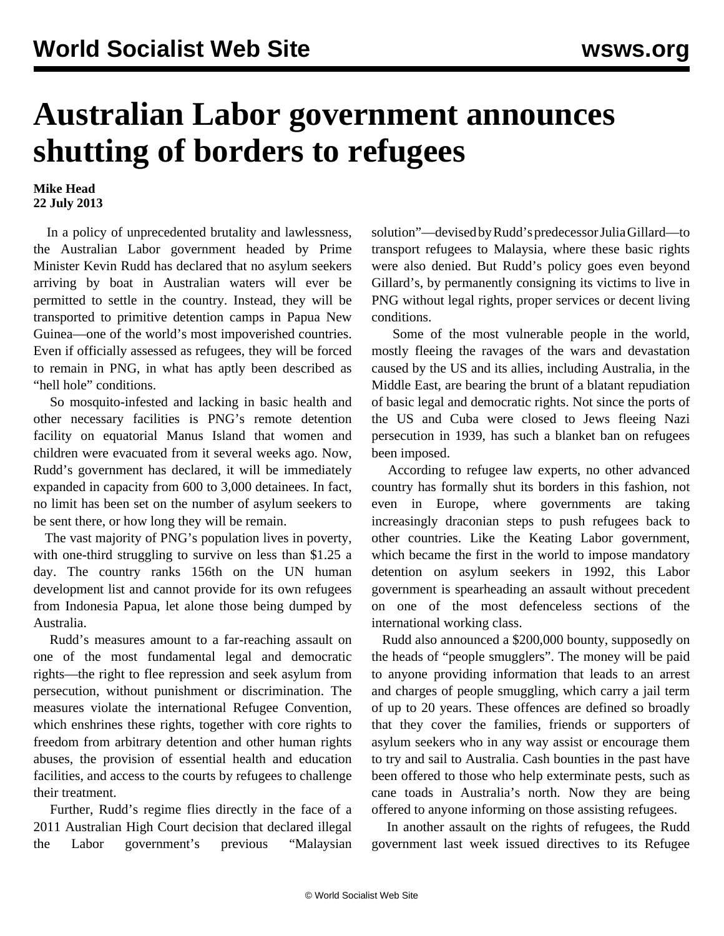## **Australian Labor government announces shutting of borders to refugees**

## **Mike Head 22 July 2013**

 In a policy of unprecedented brutality and lawlessness, the Australian Labor government headed by Prime Minister Kevin Rudd has declared that no asylum seekers arriving by boat in Australian waters will ever be permitted to settle in the country. Instead, they will be transported to primitive detention camps in Papua New Guinea—one of the world's most impoverished countries. Even if officially assessed as refugees, they will be forced to remain in PNG, in what has aptly been described as "hell hole" conditions.

 So mosquito-infested and lacking in basic health and other necessary facilities is PNG's remote detention facility on equatorial Manus Island that women and children were evacuated from it several weeks ago. Now, Rudd's government has declared, it will be immediately expanded in capacity from 600 to 3,000 detainees. In fact, no limit has been set on the number of asylum seekers to be sent there, or how long they will be remain.

 The vast majority of PNG's population lives in poverty, with one-third struggling to survive on less than \$1.25 a day. The country ranks 156th on the UN human development list and cannot provide for its own refugees from Indonesia Papua, let alone those being dumped by Australia.

 Rudd's measures amount to a far-reaching assault on one of the most fundamental legal and democratic rights—the right to flee repression and seek asylum from persecution, without punishment or discrimination. The measures violate the international Refugee Convention, which enshrines these rights, together with core rights to freedom from arbitrary detention and other human rights abuses, the provision of essential health and education facilities, and access to the courts by refugees to challenge their treatment.

 Further, Rudd's regime flies directly in the face of a 2011 Australian High Court decision that declared illegal the Labor government's previous "Malaysian solution"—devised by Rudd's predecessor Julia Gillard—to transport refugees to Malaysia, where these basic rights were also denied. But Rudd's policy goes even beyond Gillard's, by permanently consigning its victims to live in PNG without legal rights, proper services or decent living conditions.

 Some of the most vulnerable people in the world, mostly fleeing the ravages of the wars and devastation caused by the US and its allies, including Australia, in the Middle East, are bearing the brunt of a blatant repudiation of basic legal and democratic rights. Not since the ports of the US and Cuba were closed to Jews fleeing Nazi persecution in 1939, has such a blanket ban on refugees been imposed.

 According to refugee law experts, no other advanced country has formally shut its borders in this fashion, not even in Europe, where governments are taking increasingly draconian steps to push refugees back to other countries. Like the Keating Labor government, which became the first in the world to impose mandatory detention on asylum seekers in 1992, this Labor government is spearheading an assault without precedent on one of the most defenceless sections of the international working class.

 Rudd also announced a \$200,000 bounty, supposedly on the heads of "people smugglers". The money will be paid to anyone providing information that leads to an arrest and charges of people smuggling, which carry a jail term of up to 20 years. These offences are defined so broadly that they cover the families, friends or supporters of asylum seekers who in any way assist or encourage them to try and sail to Australia. Cash bounties in the past have been offered to those who help exterminate pests, such as cane toads in Australia's north. Now they are being offered to anyone informing on those assisting refugees.

 In another assault on the rights of refugees, the Rudd government last week issued directives to its Refugee